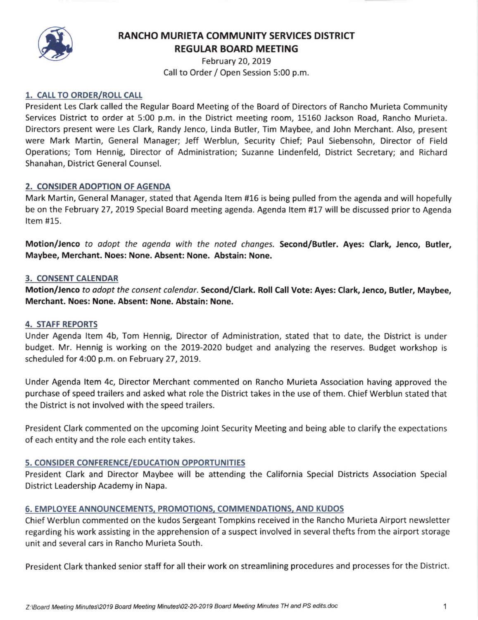

# RANCHO MURIETA COMMUNITY SERVICES DISTRICT REGULAR BOARD MEETING

February 20, 2019 Call to Order / Open Session 5:00 p.m.

# 1. CALL TO ORDER/ROLL CALL

President Les Clark called the Regular Board Meeting of the Board of Directors of Rancho Murieta Community Services District to order at 5:00 p.m. in the District meeting room, 15160 Jackson Road, Rancho Murieta. Directors present were Les Clark. Randy Jenco, Linda Butler, Tim Maybee, and John Merchant. Also, present were Mark Martin, General Manager; Jeff Werblun, Security Chief; Paul Siebensohn, Director of Field Operations; Tom Hennig, Director of Administration; Suzanne Lindenfeld, District Secretary; and Richard Shanahan, District General Counsel.

### 2. CONSIDER ADOPTION OF AGENDA

Mark Martin, General Manager, stated that Agenda ltem #16 is being pulled from the agenda and will hopefully be on the February 27, 2019 Special Board meeting agenda. Agenda Item #17 will be discussed prior to Agenda Item #15.

Motion/Jenco to adopt the agenda with the noted changes. Second/Butler. Ayes: Clark, Jenco, Butler, Maybee, Merchant. Noes: None. Absent: None. Abstain: None.

### 3. CONSENT CALENDAR

Motion/Jenco to adopt the consent calendar. Second/Clark. Roll Call Vote: Ayes: Clark, Jenco, Butler, Maybee, Merchant. Noes: None. Absent: None. Abstain: None.

#### 4. STAFF REPORTS

Under Agenda ltem 4b, Tom Hennig, Director of Administration, stated that to date, the District is under budget. Mr. Hennig is working on the 2019-2020 budget and analyzing the reserves. Budget workshop is scheduled for 4:00 p.m. on February 27, 2019.

Under Agenda ltem 4c, Director Merchant commented on Rancho Murieta Association having approved the purchase of speed trailers and asked what role the District takes in the use of them. Chief Werblun stated that the District is not involved with the speed trailers.

President Clark commented on the upcoming Joint Security Meeting and being able to clarify the expectations of each entity and the role each entity takes.

# 5. CONSIDER CONFERENCE/EDUCATION OPPORTUNITIES

President Clark and Director Maybee will be attending the California Special Districts Association Special District Leadership Academy in Napa.

# 6. EMPLOYEE ANNOUNCEMENTS, PROMOTIONS, COMMENDATIONS, AND KUDOS

Chief Werblun commented on the kudos Sergeant Tompkins received in the Rancho Murieta Airport newsletter regarding his work assisting in the apprehension of a suspect involved in several thefts from the airport storage unit and several cars in Rancho Murieta South.

President Clark thanked senior staff for all their work on streamlining procedures and processes for the District.